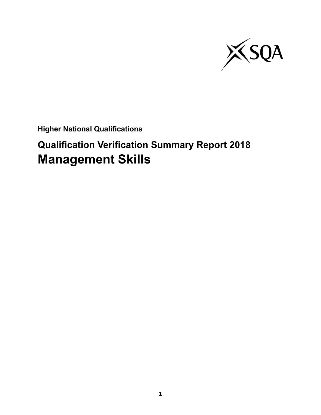

**Higher National Qualifications**

# **Qualification Verification Summary Report 2018 Management Skills**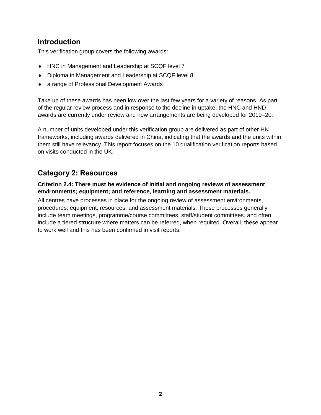### **Introduction**

This verification group covers the following awards:

- ◆ HNC in Management and Leadership at SCQF level 7
- Diploma in Management and Leadership at SCQF level 8
- a range of Professional Development Awards

Take up of these awards has been low over the last few years for a variety of reasons. As part of the regular review process and in response to the decline in uptake, the HNC and HND awards are currently under review and new arrangements are being developed for 2019–20.

A number of units developed under this verification group are delivered as part of other HN frameworks, including awards delivered in China, indicating that the awards and the units within them still have relevancy. This report focuses on the 10 qualification verification reports based on visits conducted in the UK.

## **Category 2: Resources**

#### **Criterion 2.4: There must be evidence of initial and ongoing reviews of assessment environments; equipment; and reference, learning and assessment materials.**

All centres have processes in place for the ongoing review of assessment environments, procedures, equipment, resources, and assessment materials. These processes generally include team meetings, programme/course committees, staff/student committees, and often include a tiered structure where matters can be referred, when required. Overall, these appear to work well and this has been confirmed in visit reports.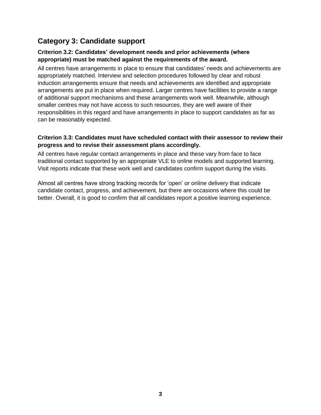# **Category 3: Candidate support**

#### **Criterion 3.2: Candidates' development needs and prior achievements (where appropriate) must be matched against the requirements of the award.**

All centres have arrangements in place to ensure that candidates' needs and achievements are appropriately matched. Interview and selection procedures followed by clear and robust induction arrangements ensure that needs and achievements are identified and appropriate arrangements are put in place when required. Larger centres have facilities to provide a range of additional support mechanisms and these arrangements work well. Meanwhile, although smaller centres may not have access to such resources, they are well aware of their responsibilities in this regard and have arrangements in place to support candidates as far as can be reasonably expected.

#### **Criterion 3.3: Candidates must have scheduled contact with their assessor to review their progress and to revise their assessment plans accordingly.**

All centres have regular contact arrangements in place and these vary from face to face traditional contact supported by an appropriate VLE to online models and supported learning. Visit reports indicate that these work well and candidates confirm support during the visits.

Almost all centres have strong tracking records for 'open' or online delivery that indicate candidate contact, progress, and achievement, but there are occasions where this could be better. Overall, it is good to confirm that all candidates report a positive learning experience.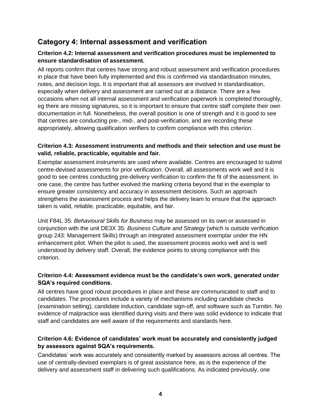## **Category 4: Internal assessment and verification**

#### **Criterion 4.2: Internal assessment and verification procedures must be implemented to ensure standardisation of assessment.**

All reports confirm that centres have strong and robust assessment and verification procedures in place that have been fully implemented and this is confirmed via standardisation minutes, notes, and decision logs. It is important that all assessors are involved in standardisation, especially when delivery and assessment are carried out at a distance. There are a few occasions when not all internal assessment and verification paperwork is completed thoroughly, eg there are missing signatures, so it is important to ensure that centre staff complete their own documentation in full. Nonetheless, the overall position is one of strength and it is good to see that centres are conducting pre-, mid-, and post-verification, and are recording these appropriately, allowing qualification verifiers to confirm compliance with this criterion.

#### **Criterion 4.3: Assessment instruments and methods and their selection and use must be valid, reliable, practicable, equitable and fair.**

Exemplar assessment instruments are used where available. Centres are encouraged to submit centre-devised assessments for prior verification. Overall, all assessments work well and it is good to see centres conducting pre-delivery verification to confirm the fit of the assessment. In one case, the centre has further evolved the marking criteria beyond that in the exemplar to ensure greater consistency and accuracy in assessment decisions. Such an approach strengthens the assessment process and helps the delivery team to ensure that the approach taken is valid, reliable, practicable, equitable, and fair.

Unit F84L 35: *Behavioural Skills for Business* may be assessed on its own or assessed in conjunction with the unit DE3X 35: *Business Culture and Strategy* (which is outside verification group 243: Management Skills) through an integrated assessment exemplar under the HN enhancement pilot. When the pilot is used, the assessment process works well and is well understood by delivery staff. Overall, the evidence points to strong compliance with this criterion.

#### **Criterion 4.4: Assessment evidence must be the candidate's own work, generated under SQA's required conditions.**

All centres have good robust procedures in place and these are communicated to staff and to candidates. The procedures include a variety of mechanisms including candidate checks (examination setting), candidate induction, candidate sign-off, and software such as Turnitin. No evidence of malpractice was identified during visits and there was solid evidence to indicate that staff and candidates are well aware of the requirements and standards here.

#### **Criterion 4.6: Evidence of candidates' work must be accurately and consistently judged by assessors against SQA's requirements.**

Candidates' work was accurately and consistently marked by assessors across all centres. The use of centrally-devised exemplars is of great assistance here, as is the experience of the delivery and assessment staff in delivering such qualifications. As indicated previously, one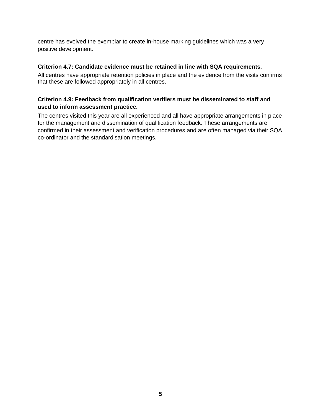centre has evolved the exemplar to create in-house marking guidelines which was a very positive development.

#### **Criterion 4.7: Candidate evidence must be retained in line with SQA requirements.**

All centres have appropriate retention policies in place and the evidence from the visits confirms that these are followed appropriately in all centres.

#### **Criterion 4.9: Feedback from qualification verifiers must be disseminated to staff and used to inform assessment practice.**

The centres visited this year are all experienced and all have appropriate arrangements in place for the management and dissemination of qualification feedback. These arrangements are confirmed in their assessment and verification procedures and are often managed via their SQA co-ordinator and the standardisation meetings.